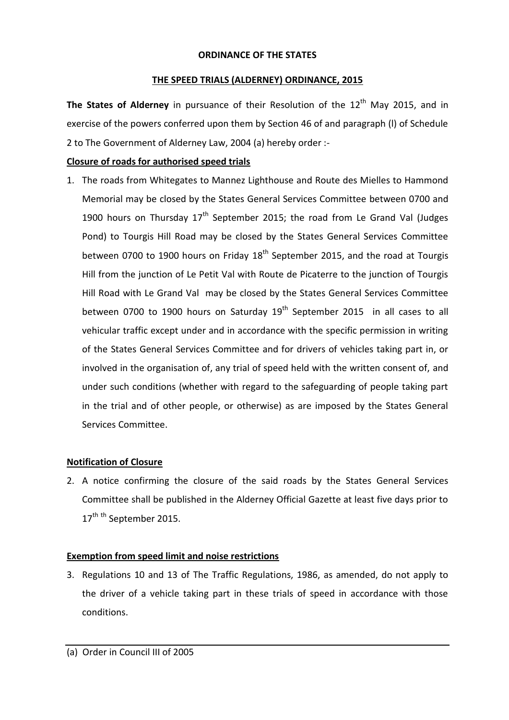#### **ORDINANCE OF THE STATES**

#### **THE SPEED TRIALS (ALDERNEY) ORDINANCE, 2015**

The States of Alderney in pursuance of their Resolution of the 12<sup>th</sup> May 2015, and in exercise of the powers conferred upon them by Section 46 of and paragraph (l) of Schedule 2 to The Government of Alderney Law, 2004 (a) hereby order :-

# **Closure of roads for authorised speed trials**

1. The roads from Whitegates to Mannez Lighthouse and Route des Mielles to Hammond Memorial may be closed by the States General Services Committee between 0700 and 1900 hours on Thursday  $17<sup>th</sup>$  September 2015; the road from Le Grand Val (Judges Pond) to Tourgis Hill Road may be closed by the States General Services Committee between 0700 to 1900 hours on Friday 18<sup>th</sup> September 2015, and the road at Tourgis Hill from the junction of Le Petit Val with Route de Picaterre to the junction of Tourgis Hill Road with Le Grand Val may be closed by the States General Services Committee between 0700 to 1900 hours on Saturday  $19<sup>th</sup>$  September 2015 in all cases to all vehicular traffic except under and in accordance with the specific permission in writing of the States General Services Committee and for drivers of vehicles taking part in, or involved in the organisation of, any trial of speed held with the written consent of, and under such conditions (whether with regard to the safeguarding of people taking part in the trial and of other people, or otherwise) as are imposed by the States General Services Committee.

## **Notification of Closure**

2. A notice confirming the closure of the said roads by the States General Services Committee shall be published in the Alderney Official Gazette at least five days prior to 17<sup>th th</sup> September 2015.

## **Exemption from speed limit and noise restrictions**

3. Regulations 10 and 13 of The Traffic Regulations, 1986, as amended, do not apply to the driver of a vehicle taking part in these trials of speed in accordance with those conditions.